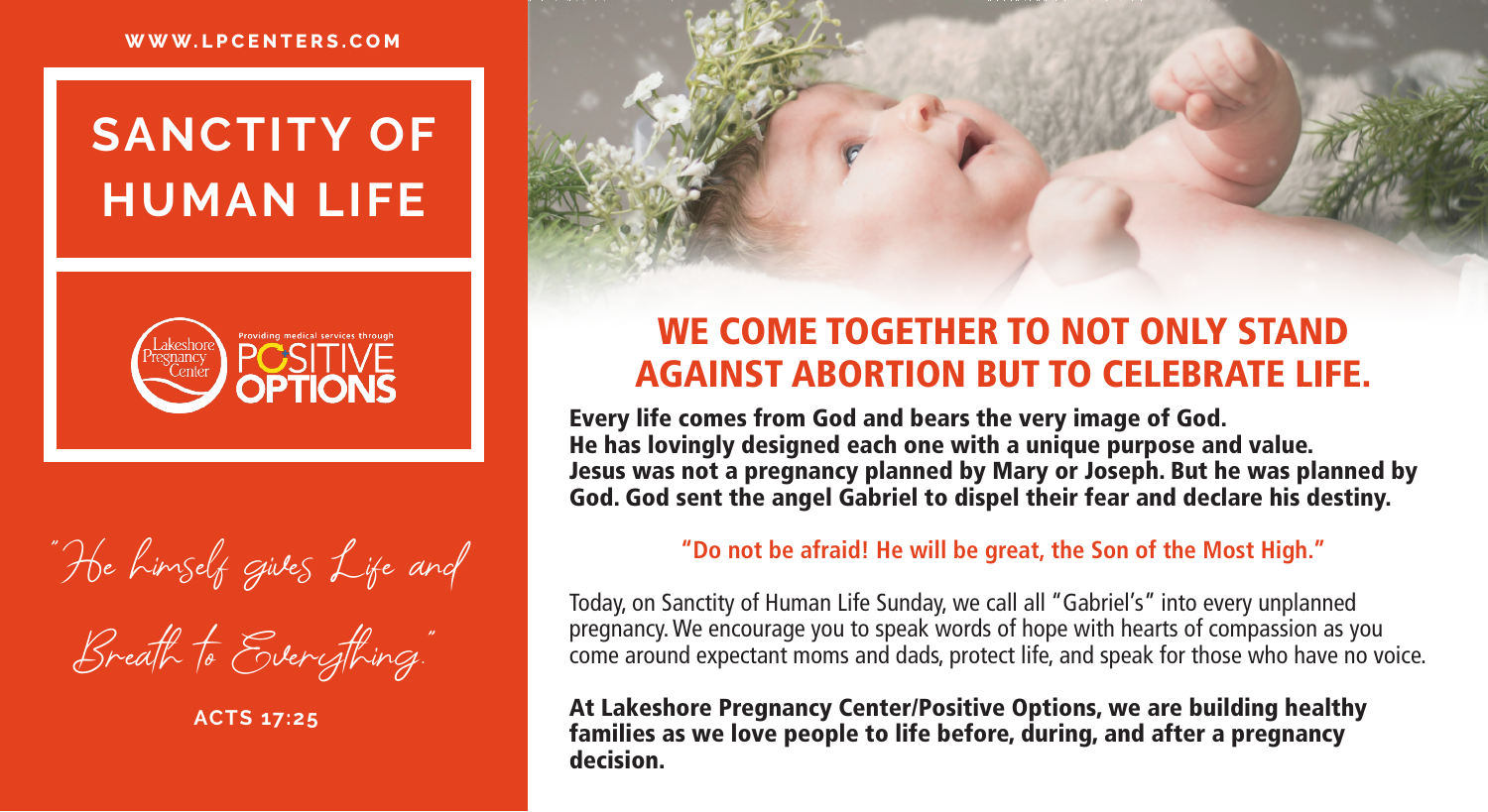#### **WWW.LPCENTERS.COM**

## **SANCTITY OF HUMAN LIFE**



"He himself gives Life and Breath to Everything."

**ACTS 17:25**

### WE COME TOGETHER TO NOT ONLY STAND AGAINST ABORTION BUT TO CELEBRATE LIFE.

Every life comes from God and bears the very image of God. He has lovingly designed each one with a unique purpose and value. Jesus was not a pregnancy planned by Mary or Joseph. But he was planned by God. God sent the angel Gabriel to dispel their fear and declare his destiny.

#### **"Do not be afraid! He will be great, the Son of the Most High."**

Today, on Sanctity of Human Life Sunday, we call all "Gabriel's" into every unplanned pregnancy. We encourage you to speak words of hope with hearts of compassion as you come around expectant moms and dads, protect life, and speak for those who have no voice.

At Lakeshore Pregnancy Center/Positive Options, we are building healthy families as we love people to life before, during, and after a pregnancy decision.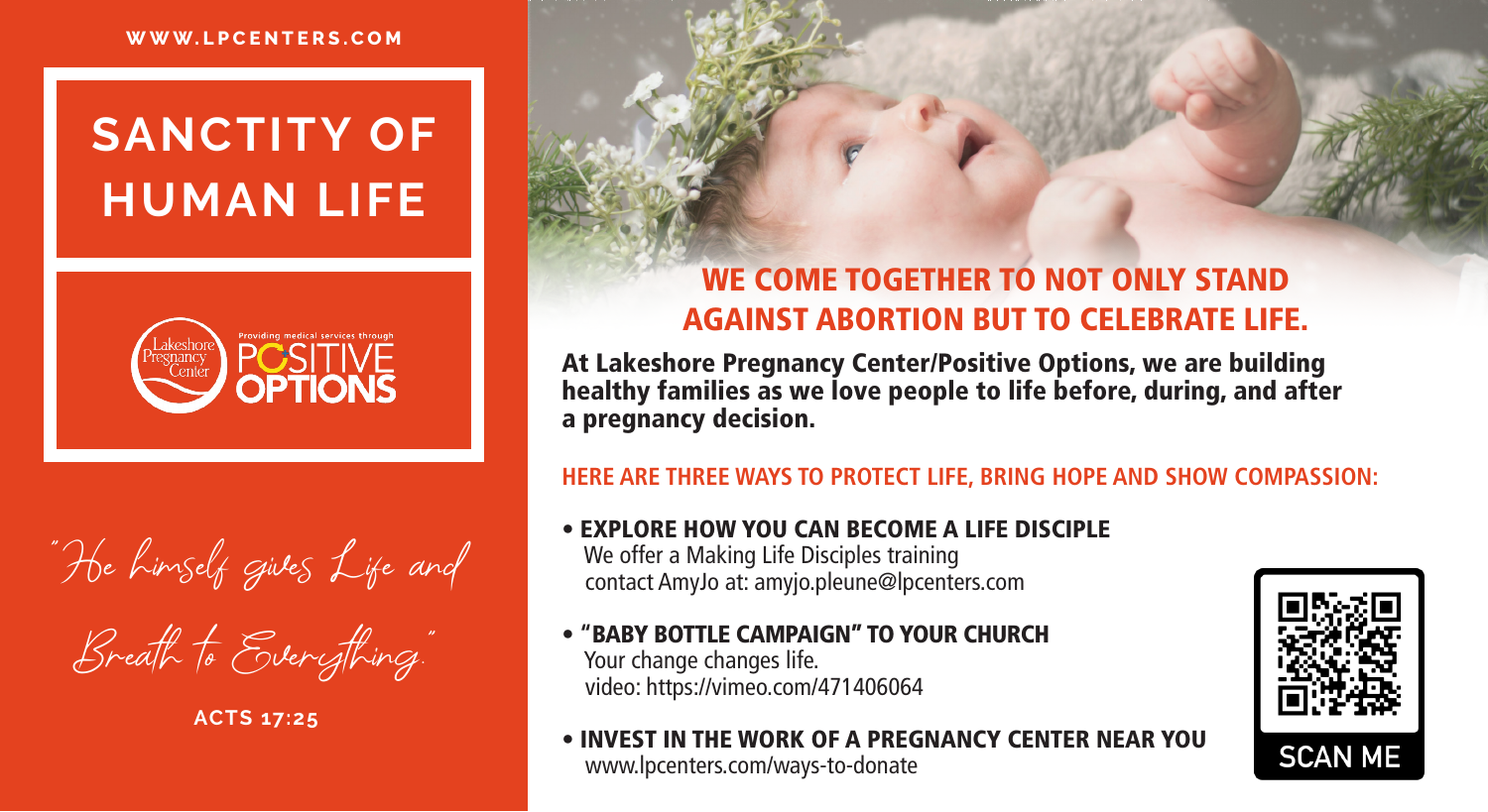



Breath to Everything."

**ACTS 17:25**

#### WE COME TOGETHER TO NOT ONLY STAND AGAINST ABORTION BUT TO CELEBRATE LIFE.

At Lakeshore Pregnancy Center/Positive Options, we are building healthy families as we love people to life before, during, and after a pregnancy decision.

#### **HERE ARE THREE WAYS TO PROTECT LIFE, BRING HOPE AND SHOW COMPASSION:**

- EXPLORE HOW YOU CAN BECOME A LIFE DISCIPLE We offer a Making Life Disciples training contact AmyJo at: amyjo.pleune@lpcenters.com
- • **"**BABY BOTTLE CAMPAIGN" TO YOUR CHURCH Your change changes life. video: https://vimeo.com/471406064
- INVEST IN THE WORK OF A PREGNANCY CENTER NEAR YOU www.lpcenters.com/ways-to-donate

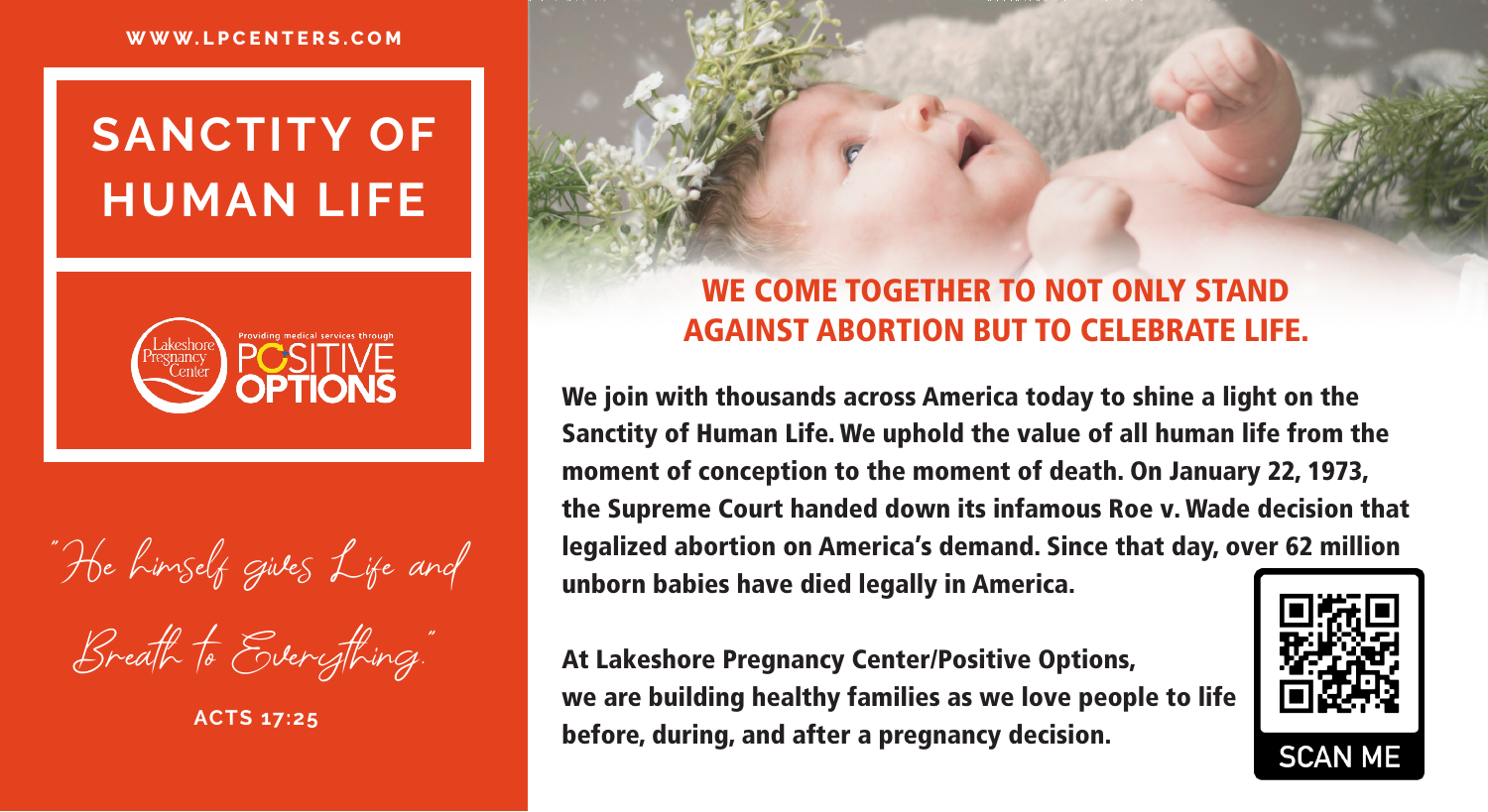

"He himself gives Life and Breath to Everything."

**ACTS 17:25**

#### WE COME TOGETHER TO NOT ONLY STAND AGAINST ABORTION BUT TO CELEBRATE LIFE.

We join with thousands across America today to shine a light on the Sanctity of Human Life. We uphold the value of all human life from the moment of conception to the moment of death. On January 22, 1973, the Supreme Court handed down its infamous Roe v. Wade decision that legalized abortion on America's demand. Since that day, over 62 million unborn babies have died legally in America.

At Lakeshore Pregnancy Center/Positive Options, we are building healthy families as we love people to life before, during, and after a pregnancy decision.

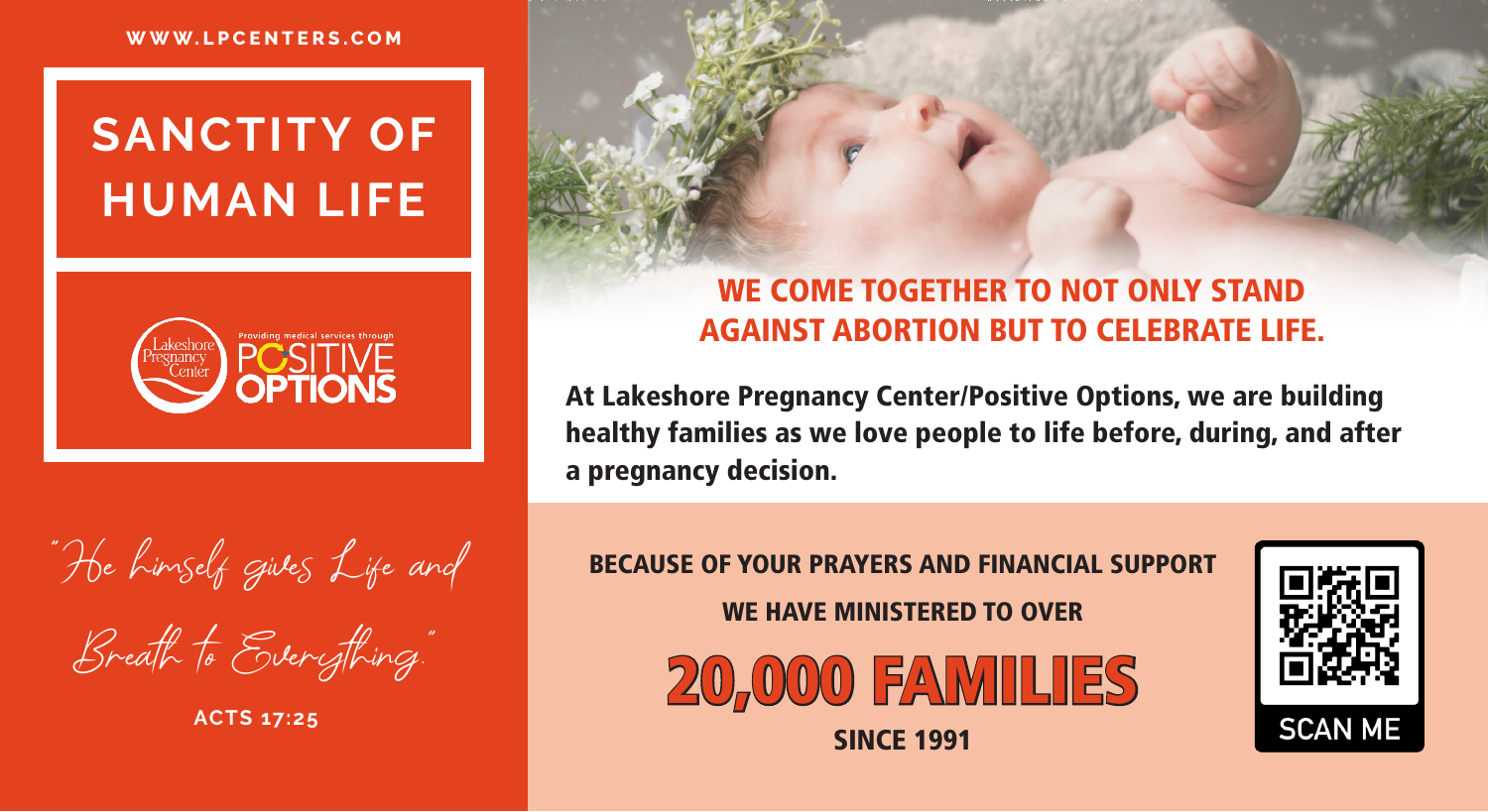

"He himself gives Life and Breath to Everything."

**ACTS 17:25**

### WE COME TOGETHER TO NOT ONLY STAND AGAINST ABORTION BUT TO CELEBRATE LIFE.

At Lakeshore Pregnancy Center/Positive Options, we are building healthy families as we love people to life before, during, and after a pregnancy decision.

BECAUSE OF YOUR PRAYERS AND FINANCIAL SUPPORT WE HAVE MINISTERED TO OVER



**SINCE 1991**